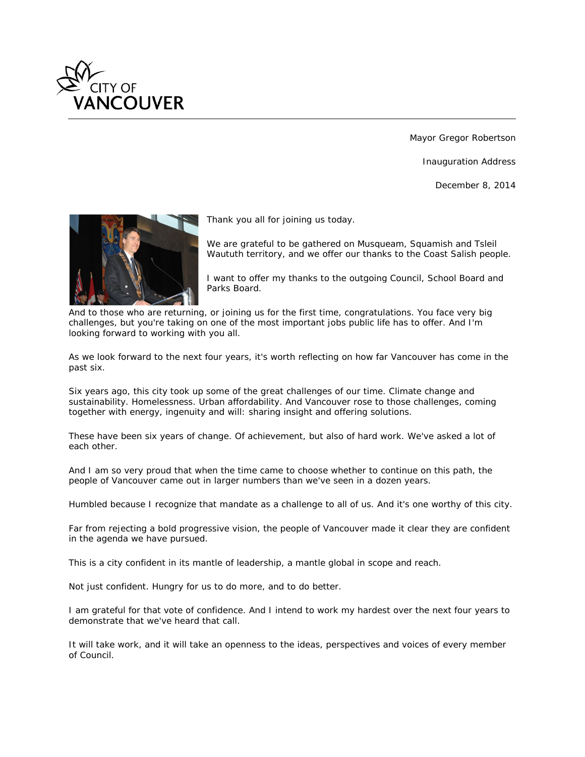

Mayor Gregor Robertson

Inauguration Address

December 8, 2014



*Thank you all for joining us today.*

*We are grateful to be gathered on Musqueam, Squamish and Tsleil Waututh territory, and we offer our thanks to the Coast Salish people.*

*I want to offer my thanks to the outgoing Council, School Board and Parks Board.*

*And to those who are returning, or joining us for the first time, congratulations. You face very big challenges, but you're taking on one of the most important jobs public life has to offer. And I'm looking forward to working with you all.*

*As we look forward to the next four years, it's worth reflecting on how far Vancouver has come in the past six.*

*Six years ago, this city took up some of the great challenges of our time. Climate change and sustainability. Homelessness. Urban affordability. And Vancouver rose to those challenges, coming together with energy, ingenuity and will: sharing insight and offering solutions.*

*These have been six years of change. Of achievement, but also of hard work. We've asked a lot of each other.*

*And I am so very proud that when the time came to choose whether to continue on this path, the people of Vancouver came out in larger numbers than we've seen in a dozen years.*

*Humbled because I recognize that mandate as a challenge to all of us. And it's one worthy of this city.*

Far from rejecting a bold progressive vision, the people of Vancouver made it clear they are confident *in the agenda we have pursued.*

*This is a city confident in its mantle of leadership, a mantle global in scope and reach.*

*Not just confident. Hungry for us to do more, and to do better.*

*I am grateful for that vote of confidence. And I intend to work my hardest over the next four years to demonstrate that we've heard that call.*

*It will take work, and it will take an openness to the ideas, perspectives and voices of every member of Council.*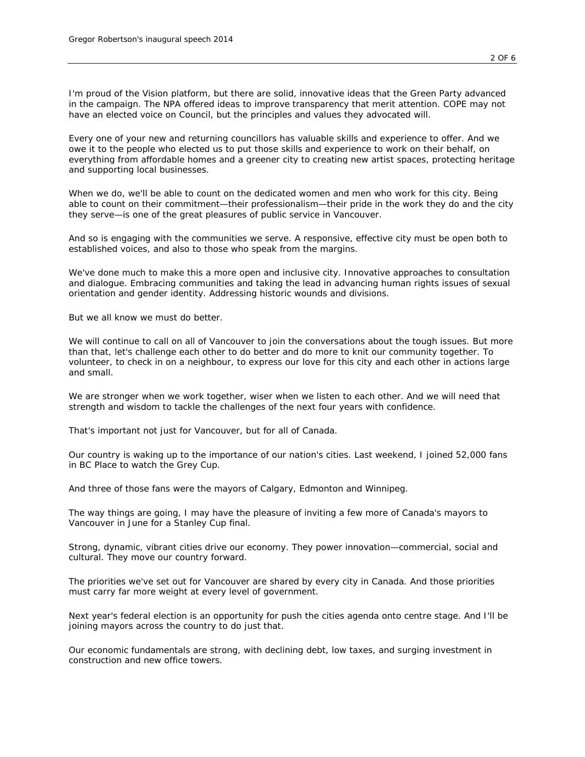*I'm proud of the Vision platform, but there are solid, innovative ideas that the Green Party advanced*  in the campaign. The NPA offered ideas to improve transparency that merit attention. COPE may not *have an elected voice on Council, but the principles and values they advocated will.*

*Every one of your new and returning councillors has valuable skills and experience to offer. And we owe it to the people who elected us to put those skills and experience to work on their behalf, on everything from affordable homes and a greener city to creating new artist spaces, protecting heritage and supporting local businesses.*

*When we do, we'll be able to count on the dedicated women and men who work for this city. Being able to count on their commitment—their professionalism—their pride in the work they do and the city they serve—is one of the great pleasures of public service in Vancouver.*

*And so is engaging with the communities we serve. A responsive, effective city must be open both to established voices, and also to those who speak from the margins.*

*We've done much to make this a more open and inclusive city. Innovative approaches to consultation and dialogue. Embracing communities and taking the lead in advancing human rights issues of sexual orientation and gender identity. Addressing historic wounds and divisions.*

*But we all know we must do better.*

*We will continue to call on all of Vancouver to join the conversations about the tough issues. But more than that, let's challenge each other to do better and do more to knit our community together. To volunteer, to check in on a neighbour, to express our love for this city and each other in actions large and small.*

We are stronger when we work together, wiser when we listen to each other. And we will need that *strength and wisdom to tackle the challenges of the next four years with confidence.*

*That's important not just for Vancouver, but for all of Canada.*

*Our country is waking up to the importance of our nation's cities. Last weekend, I joined 52,000 fans in BC Place to watch the Grey Cup.*

*And three of those fans were the mayors of Calgary, Edmonton and Winnipeg.*

*The way things are going, I may have the pleasure of inviting a few more of Canada's mayors to Vancouver in June for a Stanley Cup final.*

*Strong, dynamic, vibrant cities drive our economy. They power innovation—commercial, social and cultural. They move our country forward.*

*The priorities we've set out for Vancouver are shared by every city in Canada. And those priorities must carry far more weight at every level of government.*

*Next year's federal election is an opportunity for push the cities agenda onto centre stage. And I'll be joining mayors across the country to do just that.*

*Our economic fundamentals are strong, with declining debt, low taxes, and surging investment in construction and new office towers.*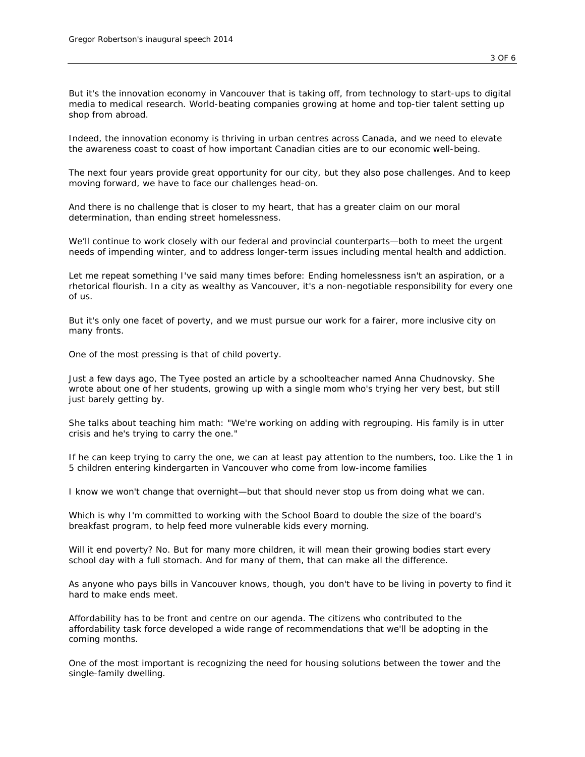*But it's the innovation economy in Vancouver that is taking off, from technology to start-ups to digital media to medical research. World-beating companies growing at home and top-tier talent setting up shop from abroad.*

*Indeed, the innovation economy is thriving in urban centres across Canada, and we need to elevate the awareness coast to coast of how important Canadian cities are to our economic well-being.*

*The next four years provide great opportunity for our city, but they also pose challenges. And to keep moving forward, we have to face our challenges head-on.*

*And there is no challenge that is closer to my heart, that has a greater claim on our moral determination, than ending street homelessness.*

*We'll continue to work closely with our federal and provincial counterparts—both to meet the urgent needs of impending winter, and to address longer-term issues including mental health and addiction.*

*Let me repeat something I've said many times before: Ending homelessness isn't an aspiration, or a rhetorical flourish. In a city as wealthy as Vancouver, it's a non-negotiable responsibility for every one of us.*

*But it's only one facet of poverty, and we must pursue our work for a fairer, more inclusive city on many fronts.*

*One of the most pressing is that of child poverty.*

*Just a few days ago, The Tyee posted an article by a schoolteacher named Anna Chudnovsky. She wrote about one of her students, growing up with a single mom who's trying her very best, but still just barely getting by.*

*She talks about teaching him math: "We're working on adding with regrouping. His family is in utter crisis and he's trying to carry the one."*

*If he can keep trying to carry the one, we can at least pay attention to the numbers, too. Like the 1 in 5 children entering kindergarten in Vancouver who come from low-income families*

*I know we won't change that overnight—but that should never stop us from doing what we can.*

*Which is why I'm committed to working with the School Board to double the size of the board's breakfast program, to help feed more vulnerable kids every morning.*

*Will it end poverty? No. But for many more children, it will mean their growing bodies start every school day with a full stomach. And for many of them, that can make all the difference.*

*As anyone who pays bills in Vancouver knows, though, you don't have to be living in poverty to find it hard to make ends meet.*

*Affordability has to be front and centre on our agenda. The citizens who contributed to the affordability task force developed a wide range of recommendations that we'll be adopting in the coming months.*

*One of the most important is recognizing the need for housing solutions between the tower and the single-family dwelling.*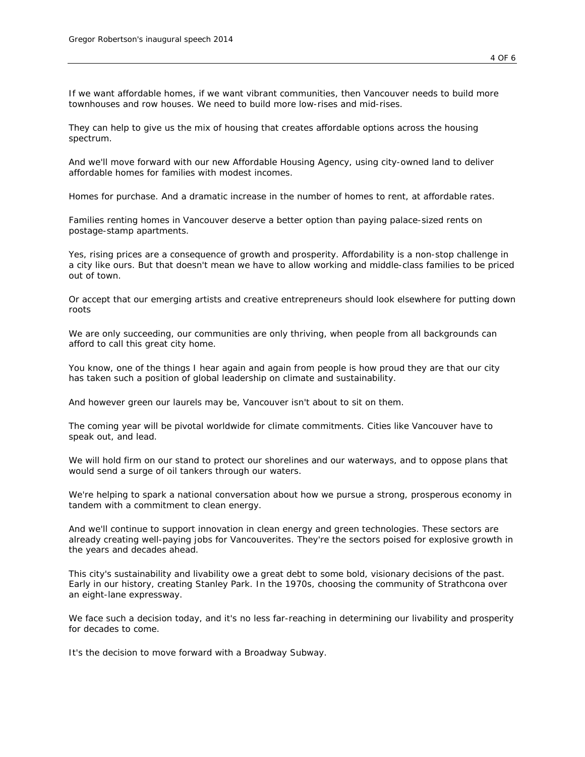*If we want affordable homes, if we want vibrant communities, then Vancouver needs to build more townhouses and row houses. We need to build more low-rises and mid-rises.*

*They can help to give us the mix of housing that creates affordable options across the housing spectrum.*

*And we'll move forward with our new Affordable Housing Agency, using city-owned land to deliver affordable homes for families with modest incomes.*

*Homes for purchase. And a dramatic increase in the number of homes to rent, at affordable rates.*

*Families renting homes in Vancouver deserve a better option than paying palace-sized rents on postage-stamp apartments.*

*Yes, rising prices are a consequence of growth and prosperity. Affordability is a non-stop challenge in a city like ours. But that doesn't mean we have to allow working and middle-class families to be priced out of town.*

*Or accept that our emerging artists and creative entrepreneurs should look elsewhere for putting down roots*

*We are only succeeding, our communities are only thriving, when people from all backgrounds can afford to call this great city home.*

*You know, one of the things I hear again and again from people is how proud they are that our city has taken such a position of global leadership on climate and sustainability.*

*And however green our laurels may be, Vancouver isn't about to sit on them.*

*The coming year will be pivotal worldwide for climate commitments. Cities like Vancouver have to speak out, and lead.*

We will hold firm on our stand to protect our shorelines and our waterways, and to oppose plans that *would send a surge of oil tankers through our waters.*

*We're helping to spark a national conversation about how we pursue a strong, prosperous economy in tandem with a commitment to clean energy.*

*And we'll continue to support innovation in clean energy and green technologies. These sectors are already creating well-paying jobs for Vancouverites. They're the sectors poised for explosive growth in the years and decades ahead.*

*This city's sustainability and livability owe a great debt to some bold, visionary decisions of the past. Early in our history, creating Stanley Park. In the 1970s, choosing the community of Strathcona over an eight-lane expressway.*

*We face such a decision today, and it's no less far-reaching in determining our livability and prosperity for decades to come.*

*It's the decision to move forward with a Broadway Subway.*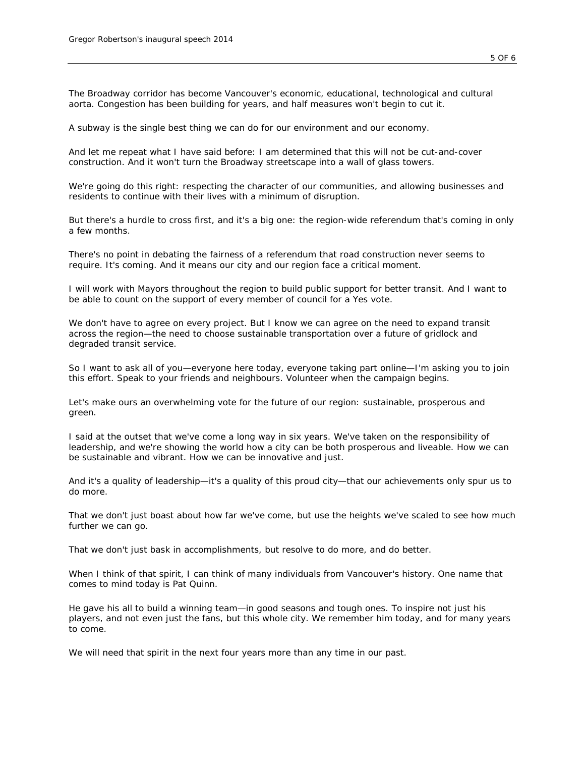*The Broadway corridor has become Vancouver's economic, educational, technological and cultural aorta. Congestion has been building for years, and half measures won't begin to cut it.*

*A subway is the single best thing we can do for our environment and our economy.*

*And let me repeat what I have said before: I am determined that this will not be cut-and-cover construction. And it won't turn the Broadway streetscape into a wall of glass towers.*

*We're going do this right: respecting the character of our communities, and allowing businesses and residents to continue with their lives with a minimum of disruption.*

*But there's a hurdle to cross first, and it's a big one: the region-wide referendum that's coming in only a few months.*

*There's no point in debating the fairness of a referendum that road construction never seems to require. It's coming. And it means our city and our region face a critical moment.*

*I will work with Mayors throughout the region to build public support for better transit. And I want to be able to count on the support of every member of council for a Yes vote.*

We don't have to agree on every project. But I know we can agree on the need to expand transit *across the region—the need to choose sustainable transportation over a future of gridlock and degraded transit service.*

*So I want to ask all of you—everyone here today, everyone taking part online—I'm asking you to join this effort. Speak to your friends and neighbours. Volunteer when the campaign begins.*

*Let's make ours an overwhelming vote for the future of our region: sustainable, prosperous and green.*

*I said at the outset that we've come a long way in six years. We've taken on the responsibility of* leadership, and we're showing the world how a city can be both prosperous and liveable. How we can *be sustainable and vibrant. How we can be innovative and just.*

*And it's a quality of leadership—it's a quality of this proud city—that our achievements only spur us to do more.*

*That we don't just boast about how far we've come, but use the heights we've scaled to see how much further we can go.*

*That we don't just bask in accomplishments, but resolve to do more, and do better.*

*When I think of that spirit, I can think of many individuals from Vancouver's history. One name that comes to mind today is Pat Quinn.*

*He gave his all to build a winning team—in good seasons and tough ones. To inspire not just his players, and not even just the fans, but this whole city. We remember him today, and for many years to come.*

*We will need that spirit in the next four years more than any time in our past.*